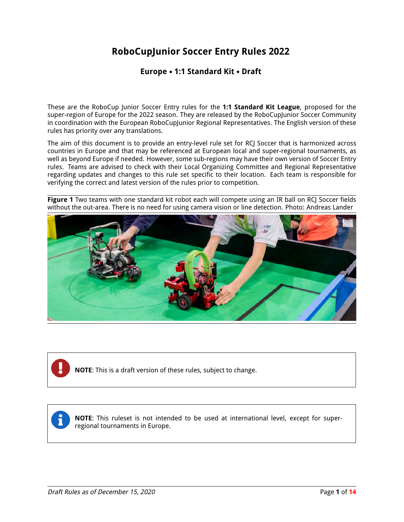# **RoboCupJunior Soccer Entry Rules 2022**

#### **Europe** • **1:1 Standard Kit** • **Draft**

These are the RoboCup Junior Soccer Entry rules for the **1:1 Standard Kit League**, proposed for the super-region of Europe for the 2022 season. They are released by the RoboCupJunior Soccer Community in coordination with the European RoboCupJunior Regional Representatives. The English version of these rules has priority over any translations.

The aim of this document is to provide an entry-level rule set for RCJ Soccer that is harmonized across countries in Europe and that may be referenced at European local and super-regional tournaments, as well as beyond Europe if needed. However, some sub-regions may have their own version of Soccer Entry rules. Teams are advised to check with their Local Organizing Committee and Regional Representative regarding updates and changes to this rule set specific to their location. Each team is responsible for verifying the correct and latest version of the rules prior to competition.

**Figure 1** Two teams with one standard kit robot each will compete using an IR ball on RCJ Soccer fields without the out-area. There is no need for using camera vision or line detection. Photo: Andreas Lander



**NOTE**: This is a draft version of these rules, subject to change.

**NOTE**: This ruleset is not intended to be used at international level, except for superregional tournaments in Europe.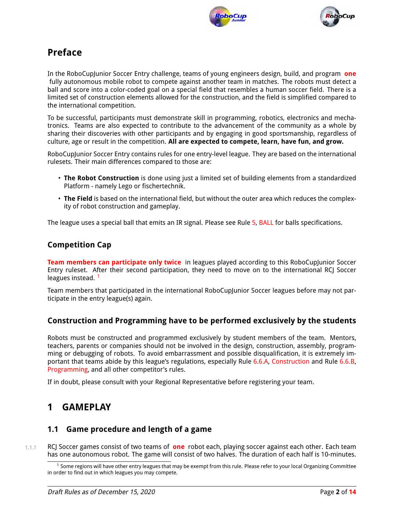



# **Preface**

In the RoboCupJunior Soccer Entry challenge, teams of young engineers design, build, and program **one** fully autonomous mobile robot to compete against another team in matches. The robots must detect a ball and score into a color-coded goal on a special field that resembles a human soccer field. There is a limited set of construction elements allowed for the construction, and the field is simplified compared to the international competition.

To be successful, participants must demonstrate skill in programming, robotics, electronics and mechatronics. Teams are also expected to contribute to the advancement of the community as a whole by sharing their discoveries with other participants and by engaging in good sportsmanship, regardless of culture, age or result in the competition. **All are expected to compete, learn, have fun, and grow.**

RoboCupJunior Soccer Entry contains rules for one entry-level league. They are based on the international rulesets. Their main differences compared to those are:

- **The Robot Construction** is done using just a limited set of building elements from a standardized Platform - namely Lego or fischertechnik.
- **The Field** is based on the international field, but without the outer area which reduces the complexity of robot construction and gameplay.

The league uses a special ball that emits an IR signal. Please see Rule [5,](#page-9-0) [BALL](#page-9-1) for balls specifications.

### **Competition Cap**

**Team members can participate only twice** in leagues played according to this RoboCupJunior Soccer Entry ruleset. After their second participation, they need to move on to the international RCJ Soccer leagues instead.<sup>[1](#page-1-0)</sup>

Team members that participated in the international RoboCupJunior Soccer leagues before may not participate in the entry league(s) again.

### **Construction and Programming have to be performed exclusively by the students**

Robots must be constructed and programmed exclusively by student members of the team. Mentors, teachers, parents or companies should not be involved in the design, construction, assembly, programming or debugging of robots. To avoid embarrassment and possible disqualification, it is extremely important that teams abide by this league's regulations, especially Rule [6.6.A,](#page-10-0) [Construction](#page-10-1) and Rule [6.6.B,](#page-11-0) [Programming,](#page-11-1) and all other competitor's rules.

If in doubt, please consult with your Regional Representative before registering your team.

# **1 GAMEPLAY**

### **1.1 Game procedure and length of a game**

1.1.1 RCJ Soccer games consist of two teams of **one** robot each, playing soccer against each other. Each team has one autonomous robot. The game will consist of two halves. The duration of each half is 10-minutes.

<span id="page-1-0"></span> $1$  Some regions will have other entry leagues that may be exempt from this rule. Please refer to your local Organizing Committee in order to find out in which leagues you may compete.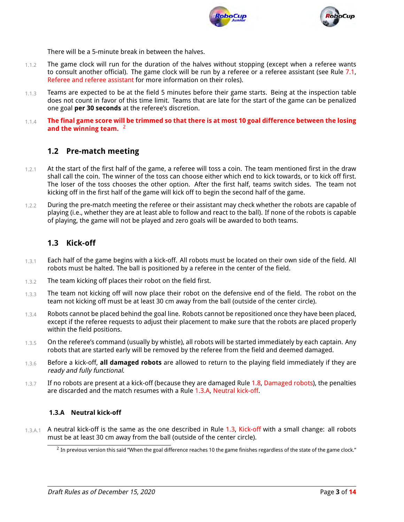



There will be a 5-minute break in between the halves.

- 1.1.2 The game clock will run for the duration of the halves without stopping (except when a referee wants to consult another official). The game clock will be run by a referee or a referee assistant (see Rule [7.1,](#page-11-2) [Referee and referee assistant](#page-11-3) for more information on their roles).
- 1.1.3 Teams are expected to be at the field 5 minutes before their game starts. Being at the inspection table does not count in favor of this time limit. Teams that are late for the start of the game can be penalized one goal **per 30 seconds** at the referee's discretion.
- 1.1.4 **The final game score will be trimmed so that there is at most 10 goal difference between the losing** and the winning team. <sup>[2](#page-2-0)</sup>

### **1.2 Pre-match meeting**

- $1.2.1$  At the start of the first half of the game, a referee will toss a coin. The team mentioned first in the draw shall call the coin. The winner of the toss can choose either which end to kick towards, or to kick off first. The loser of the toss chooses the other option. After the first half, teams switch sides. The team not kicking off in the first half of the game will kick off to begin the second half of the game.
- 1.2.2 During the pre-match meeting the referee or their assistant may check whether the robots are capable of playing (i.e., whether they are at least able to follow and react to the ball). If none of the robots is capable of playing, the game will not be played and zero goals will be awarded to both teams.

#### <span id="page-2-4"></span><span id="page-2-3"></span>**1.3 Kick-off**

- 1.3.1 Each half of the game begins with a kick-off. All robots must be located on their own side of the field. All robots must be halted. The ball is positioned by a referee in the center of the field.
- 1.3.2 The team kicking off places their robot on the field first.
- 1.3.3 The team not kicking off will now place their robot on the defensive end of the field. The robot on the team not kicking off must be at least 30 cm away from the ball (outside of the center circle).
- 1.3.4 Robots cannot be placed behind the goal line. Robots cannot be repositioned once they have been placed, except if the referee requests to adjust their placement to make sure that the robots are placed properly within the field positions.
- 1.3.5 On the referee's command (usually by whistle), all robots will be started immediately by each captain. Any robots that are started early will be removed by the referee from the field and deemed damaged.
- 1.3.6 Before a kick-off, **all damaged robots** are allowed to return to the playing field immediately if they are ready and fully functional.
- 1.3.7 If no robots are present at a kick-off (because they are damaged Rule [1.8,](#page-3-0) [Damaged robots\)](#page-3-1), the penalties are discarded and the match resumes with a Rule [1.3.A,](#page-2-1) [Neutral kick-off.](#page-2-2)

#### <span id="page-2-2"></span><span id="page-2-1"></span>**1.3.A Neutral kick-off**

1.3.A.1 A neutral kick-off is the same as the one described in Rule [1.3,](#page-2-3) [Kick-off](#page-2-4) with a small change: all robots must be at least 30 cm away from the ball (outside of the center circle).

<span id="page-2-0"></span> $^2$  In previous version this said "When the goal difference reaches 10 the game finishes regardless of the state of the game clock."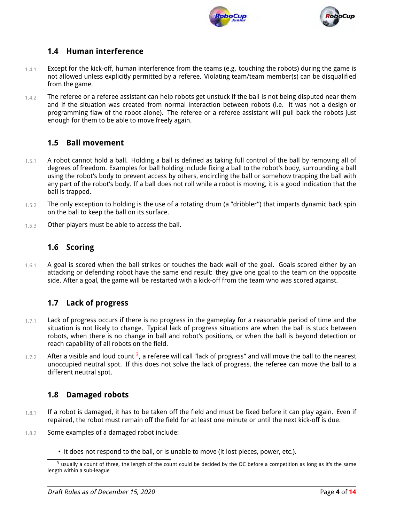



## **1.4 Human interference**

- $1.4.1$  Except for the kick-off, human interference from the teams (e.g. touching the robots) during the game is not allowed unless explicitly permitted by a referee. Violating team/team member(s) can be disqualified from the game.
- 1.4.2 The referee or a referee assistant can help robots get unstuck if the ball is not being disputed near them and if the situation was created from normal interaction between robots (i.e. it was not a design or programming flaw of the robot alone). The referee or a referee assistant will pull back the robots just enough for them to be able to move freely again.

## **1.5 Ball movement**

- 1.5.1 A robot cannot hold a ball. Holding a ball is defined as taking full control of the ball by removing all of degrees of freedom. Examples for ball holding include fixing a ball to the robot's body, surrounding a ball using the robot's body to prevent access by others, encircling the ball or somehow trapping the ball with any part of the robot's body. If a ball does not roll while a robot is moving, it is a good indication that the ball is trapped.
- 1.5.2 The only exception to holding is the use of a rotating drum (a "dribbler") that imparts dynamic back spin on the ball to keep the ball on its surface.
- 1.5.3 Other players must be able to access the ball.

### **1.6 Scoring**

1.6.1 A goal is scored when the ball strikes or touches the back wall of the goal. Goals scored either by an attacking or defending robot have the same end result: they give one goal to the team on the opposite side. After a goal, the game will be restarted with a kick-off from the team who was scored against.

## **1.7 Lack of progress**

- $1.7.1$  Lack of progress occurs if there is no progress in the gameplay for a reasonable period of time and the situation is not likely to change. Typical lack of progress situations are when the ball is stuck between robots, when there is no change in ball and robot's positions, or when the ball is beyond detection or reach capability of all robots on the field.
- $1.7.2$  After a visible and loud count <sup>[3](#page-3-2)</sup>, a referee will call "lack of progress" and will move the ball to the nearest unoccupied neutral spot. If this does not solve the lack of progress, the referee can move the ball to a different neutral spot.

### <span id="page-3-1"></span><span id="page-3-0"></span>**1.8 Damaged robots**

- $1.8.1$  If a robot is damaged, it has to be taken off the field and must be fixed before it can play again. Even if repaired, the robot must remain off the field for at least one minute or until the next kick-off is due.
- 1.8.2 Some examples of a damaged robot include:
	- it does not respond to the ball, or is unable to move (it lost pieces, power, etc.).

<span id="page-3-2"></span> $3$  usually a count of three, the length of the count could be decided by the OC before a competition as long as it's the same length within a sub-league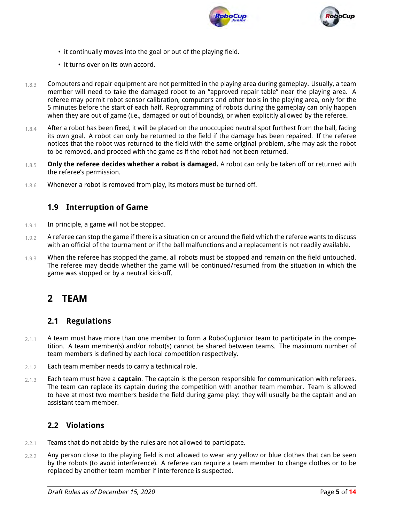



- it continually moves into the goal or out of the playing field.
- it turns over on its own accord.
- 1.8.3 Computers and repair equipment are not permitted in the playing area during gameplay. Usually, a team member will need to take the damaged robot to an "approved repair table" near the playing area. A referee may permit robot sensor calibration, computers and other tools in the playing area, only for the 5 minutes before the start of each half. Reprogramming of robots during the gameplay can only happen when they are out of game (i.e., damaged or out of bounds), or when explicitly allowed by the referee.
- $1.8.4$  After a robot has been fixed, it will be placed on the unoccupied neutral spot furthest from the ball, facing its own goal. A robot can only be returned to the field if the damage has been repaired. If the referee notices that the robot was returned to the field with the same original problem, s/he may ask the robot to be removed, and proceed with the game as if the robot had not been returned.
- 1.8.5 **Only the referee decides whether a robot is damaged.** A robot can only be taken off or returned with the referee's permission.
- 1.8.6 Whenever a robot is removed from play, its motors must be turned off.

#### **1.9 Interruption of Game**

- 1.9.1 In principle, a game will not be stopped.
- 1.9.2 A referee can stop the game if there is a situation on or around the field which the referee wants to discuss with an official of the tournament or if the ball malfunctions and a replacement is not readily available.
- 1.9.3 When the referee has stopped the game, all robots must be stopped and remain on the field untouched. The referee may decide whether the game will be continued/resumed from the situation in which the game was stopped or by a neutral kick-off.

# **2 TEAM**

### **2.1 Regulations**

- $2.1.1$  A team must have more than one member to form a RoboCupJunior team to participate in the competition. A team member(s) and/or robot(s) cannot be shared between teams. The maximum number of team members is defined by each local competition respectively.
- 2.1.2 Each team member needs to carry a technical role.
- 2.1.3 Each team must have a **captain**. The captain is the person responsible for communication with referees. The team can replace its captain during the competition with another team member. Team is allowed to have at most two members beside the field during game play: they will usually be the captain and an assistant team member.

### **2.2 Violations**

- 2.2.1 Teams that do not abide by the rules are not allowed to participate.
- 2.2.2 Any person close to the playing field is not allowed to wear any yellow or blue clothes that can be seen by the robots (to avoid interference). A referee can require a team member to change clothes or to be replaced by another team member if interference is suspected.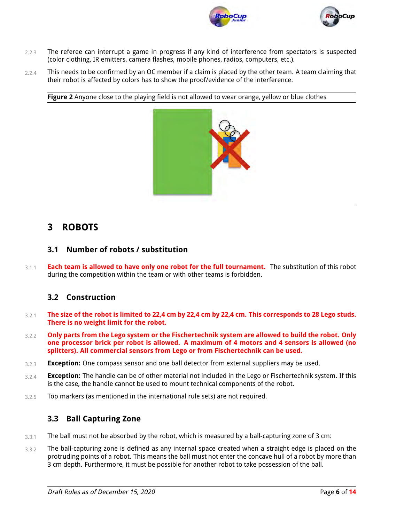



- 2.2.3 The referee can interrupt a game in progress if any kind of interference from spectators is suspected (color clothing, IR emitters, camera flashes, mobile phones, radios, computers, etc.).
- 2.2.4 This needs to be confirmed by an OC member if a claim is placed by the other team. A team claiming that their robot is affected by colors has to show the proof/evidence of the interference.

**Figure 2** Anyone close to the playing field is not allowed to wear orange, yellow or blue clothes



# **3 ROBOTS**

#### **3.1 Number of robots / substitution**

3.1.1 **Each team is allowed to have only one robot for the full tournament.** The substitution of this robot during the competition within the team or with other teams is forbidden.

### **3.2 Construction**

- 3.2.1 **The size of the robot is limited to 22,4 cm by 22,4 cm by 22,4 cm. This corresponds to 28 Lego studs. There is no weight limit for the robot.**
- 3.2.2 **Only parts from the Lego system or the Fischertechnik system are allowed to build the robot. Only one processor brick per robot is allowed. A maximum of 4 motors and 4 sensors is allowed (no splitters). All commercial sensors from Lego or from Fischertechnik can be used.**
- 3.2.3 **Exception:** One compass sensor and one ball detector from external suppliers may be used.
- 3.2.4 **Exception:** The handle can be of other material not included in the Lego or Fischertechnik system. If this is the case, the handle cannot be used to mount technical components of the robot.
- 3.2.5 Top markers (as mentioned in the international rule sets) are not required.

### **3.3 Ball Capturing Zone**

- $3.3.1$  The ball must not be absorbed by the robot, which is measured by a ball-capturing zone of 3 cm:
- 3.3.2 The ball-capturing zone is defined as any internal space created when a straight edge is placed on the protruding points of a robot. This means the ball must not enter the concave hull of a robot by more than 3 cm depth. Furthermore, it must be possible for another robot to take possession of the ball.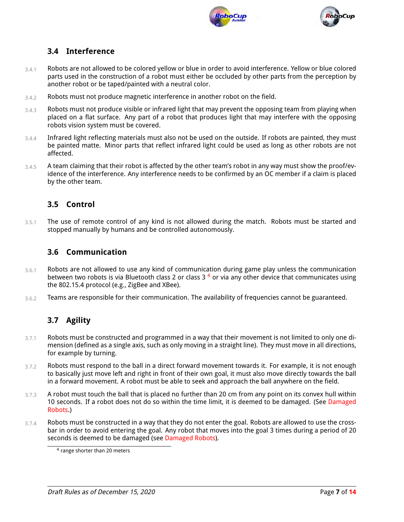



## **3.4 Interference**

- 3.4.1 Robots are not allowed to be colored yellow or blue in order to avoid interference. Yellow or blue colored parts used in the construction of a robot must either be occluded by other parts from the perception by another robot or be taped/painted with a neutral color.
- 3.4.2 Robots must not produce magnetic interference in another robot on the field.
- $3.4.3$  Robots must not produce visible or infrared light that may prevent the opposing team from playing when placed on a flat surface. Any part of a robot that produces light that may interfere with the opposing robots vision system must be covered.
- 3.4.4 Infrared light reflecting materials must also not be used on the outside. If robots are painted, they must be painted matte. Minor parts that reflect infrared light could be used as long as other robots are not affected.
- 3.4.5 A team claiming that their robot is affected by the other team's robot in any way must show the proof/evidence of the interference. Any interference needs to be confirmed by an OC member if a claim is placed by the other team.

### **3.5 Control**

3.5.1 The use of remote control of any kind is not allowed during the match. Robots must be started and stopped manually by humans and be controlled autonomously.

#### **3.6 Communication**

- 3.6.1 Robots are not allowed to use any kind of communication during game play unless the communication between two robots is via Bluetooth class 2 or class  $3<sup>4</sup>$  $3<sup>4</sup>$  $3<sup>4</sup>$  or via any other device that communicates using the 802.15.4 protocol (e.g., ZigBee and XBee).
- $3.6.2$  Teams are responsible for their communication. The availability of frequencies cannot be guaranteed.

## **3.7 Agility**

- 3.7.1 Robots must be constructed and programmed in a way that their movement is not limited to only one dimension (defined as a single axis, such as only moving in a straight line). They must move in all directions, for example by turning.
- 3.7.2 Robots must respond to the ball in a direct forward movement towards it. For example, it is not enough to basically just move left and right in front of their own goal, it must also move directly towards the ball in a forward movement. A robot must be able to seek and approach the ball anywhere on the field.
- 3.7.3 A robot must touch the ball that is placed no further than 20 cm from any point on its convex hull within 10 seconds. If a robot does not do so within the time limit, it is deemed to be damaged. (See [Damaged](#page-3-1) [Robots.](#page-3-1))
- 3.7.4 Robots must be constructed in a way that they do not enter the goal. Robots are allowed to use the crossbar in order to avoid entering the goal. Any robot that moves into the goal 3 times during a period of 20 seconds is deemed to be damaged (see [Damaged Robots\)](#page-3-1).

<span id="page-6-0"></span><sup>4</sup> range shorter than 20 meters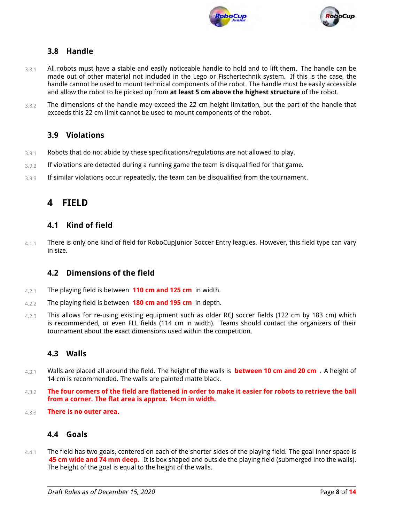



## **3.8 Handle**

- 3.8.1 All robots must have a stable and easily noticeable handle to hold and to lift them. The handle can be made out of other material not included in the Lego or Fischertechnik system. If this is the case, the handle cannot be used to mount technical components of the robot. The handle must be easily accessible and allow the robot to be picked up from **at least 5 cm above the highest structure** of the robot.
- 3.8.2 The dimensions of the handle may exceed the 22 cm height limitation, but the part of the handle that exceeds this 22 cm limit cannot be used to mount components of the robot.

### **3.9 Violations**

- 3.9.1 Robots that do not abide by these specifications/regulations are not allowed to play.
- 3.9.2 If violations are detected during a running game the team is disqualified for that game.
- 3.9.3 If similar violations occur repeatedly, the team can be disqualified from the tournament.

# **4 FIELD**

#### **4.1 Kind of field**

4.1.1 There is only one kind of field for RoboCupJunior Soccer Entry leagues. However, this field type can vary in size.

### **4.2 Dimensions of the field**

- 4.2.1 The playing field is between **110 cm and 125 cm** in width.
- 4.2.2 The playing field is between **180 cm and 195 cm** in depth.
- 4.2.3 This allows for re-using existing equipment such as older RCJ soccer fields (122 cm by 183 cm) which is recommended, or even FLL fields (114 cm in width). Teams should contact the organizers of their tournament about the exact dimensions used within the competition.

## **4.3 Walls**

- 4.3.1 Walls are placed all around the field. The height of the walls is **between 10 cm and 20 cm** . A height of 14 cm is recommended. The walls are painted matte black.
- 4.3.2 **The four corners of the field are flattened in order to make it easier for robots to retrieve the ball from a corner. The flat area is approx. 14cm in width.**
- 4.3.3 **There is no outer area.**

## **4.4 Goals**

4.4.1 The field has two goals, centered on each of the shorter sides of the playing field. The goal inner space is **45 cm wide and 74 mm deep.** It is box shaped and outside the playing field (submerged into the walls). The height of the goal is equal to the height of the walls.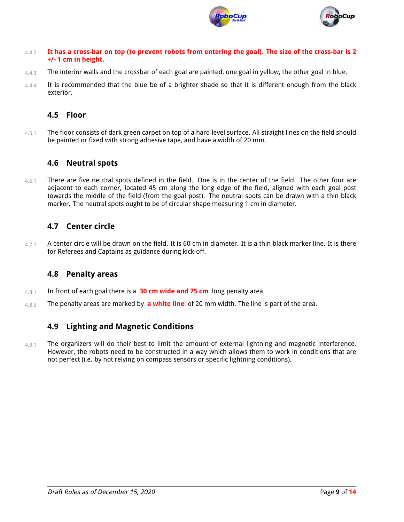



- 4.4.2 **It has a cross-bar on top (to prevent robots from entering the goal). The size of the cross-bar is 2 +/- 1 cm in height.**
- 4.4.3 The interior walls and the crossbar of each goal are painted, one goal in yellow, the other goal in blue.
- 4.4.4 It is recommended that the blue be of a brighter shade so that it is different enough from the black exterior.

### **4.5 Floor**

4.5.1 The floor consists of dark green carpet on top of a hard level surface. All straight lines on the field should be painted or fixed with strong adhesive tape, and have a width of 20 mm.

### **4.6 Neutral spots**

4.6.1 There are five neutral spots defined in the field. One is in the center of the field. The other four are adjacent to each corner, located 45 cm along the long edge of the field, aligned with each goal post towards the middle of the field (from the goal post). The neutral spots can be drawn with a thin black marker. The neutral spots ought to be of circular shape measuring 1 cm in diameter.

### **4.7 Center circle**

 $4.7.1$  A center circle will be drawn on the field. It is 60 cm in diameter. It is a thin black marker line. It is there for Referees and Captains as guidance during kick-off.

### **4.8 Penalty areas**

- 4.8.1 In front of each goal there is a **30 cm wide and 75 cm** long penalty area.
- 4.8.2 The penalty areas are marked by **a white line** of 20 mm width. The line is part of the area.

### **4.9 Lighting and Magnetic Conditions**

4.9.1 The organizers will do their best to limit the amount of external lightning and magnetic interference. However, the robots need to be constructed in a way which allows them to work in conditions that are not perfect (i.e. by not relying on compass sensors or specific lightning conditions).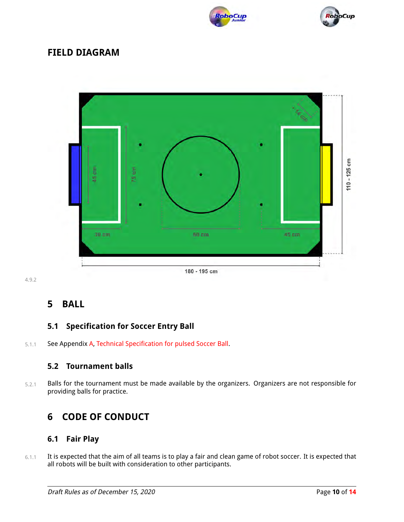



# **FIELD DIAGRAM**



4.9.2

# <span id="page-9-0"></span>**5 BALL**

## <span id="page-9-1"></span>**5.1 Specification for Soccer Entry Ball**

5.1.1 See Appendix [A,](#page-12-0) [Technical Specification for pulsed Soccer Ball.](#page-12-1)

### **5.2 Tournament balls**

5.2.1 Balls for the tournament must be made available by the organizers. Organizers are not responsible for providing balls for practice.

# **6 CODE OF CONDUCT**

### **6.1 Fair Play**

6.1.1 It is expected that the aim of all teams is to play a fair and clean game of robot soccer. It is expected that all robots will be built with consideration to other participants.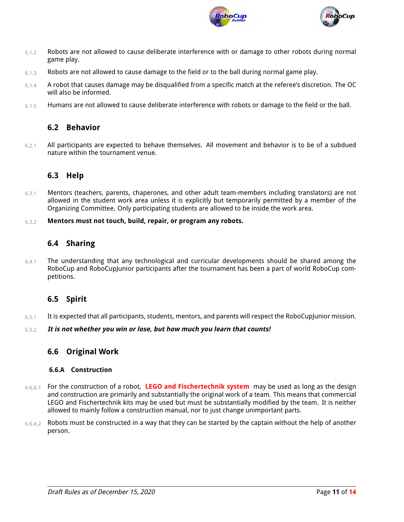



- 6.1.2 Robots are not allowed to cause deliberate interference with or damage to other robots during normal game play.
- 6.1.3 Robots are not allowed to cause damage to the field or to the ball during normal game play.
- 6.1.4 A robot that causes damage may be disqualified from a specific match at the referee's discretion. The OC will also be informed.
- 6.1.5 Humans are not allowed to cause deliberate interference with robots or damage to the field or the ball.

#### **6.2 Behavior**

6.2.1 All participants are expected to behave themselves. All movement and behavior is to be of a subdued nature within the tournament venue.

### **6.3 Help**

- 6.3.1 Mentors (teachers, parents, chaperones, and other adult team-members including translators) are not allowed in the student work area unless it is explicitly but temporarily permitted by a member of the Organizing Committee. Only participating students are allowed to be inside the work area.
- 6.3.2 **Mentors must not touch, build, repair, or program any robots.**

#### **6.4 Sharing**

 $6.4.1$  The understanding that any technological and curricular developments should be shared among the RoboCup and RoboCupJunior participants after the tournament has been a part of world RoboCup competitions.

### **6.5 Spirit**

 $6.5.1$  It is expected that all participants, students, mentors, and parents will respect the RoboCupJunior mission.

#### 6.5.2 **It is not whether you win or lose, but how much you learn that counts!**

#### **6.6 Original Work**

#### <span id="page-10-1"></span><span id="page-10-0"></span>**6.6.A Construction**

- 6.6.A.1 For the construction of a robot, **LEGO and Fischertechnik system** may be used as long as the design and construction are primarily and substantially the original work of a team. This means that commercial LEGO and Fischertechnik kits may be used but must be substantially modified by the team. It is neither allowed to mainly follow a construction manual, nor to just change unimportant parts.
- 6.6.A.2 Robots must be constructed in a way that they can be started by the captain without the help of another person.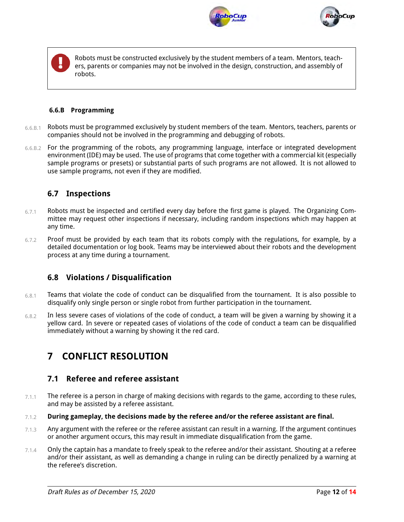



Robots must be constructed exclusively by the student members of a team. Mentors, teachers, parents or companies may not be involved in the design, construction, and assembly of robots.

#### <span id="page-11-1"></span><span id="page-11-0"></span>**6.6.B Programming**

- 6.6.B.1 Robots must be programmed exclusively by student members of the team. Mentors, teachers, parents or companies should not be involved in the programming and debugging of robots.
- 6.6.B.2 For the programming of the robots, any programming language, interface or integrated development environment (IDE) may be used. The use of programs that come together with a commercial kit (especially sample programs or presets) or substantial parts of such programs are not allowed. It is not allowed to use sample programs, not even if they are modified.

#### **6.7 Inspections**

- 6.7.1 Robots must be inspected and certified every day before the first game is played. The Organizing Committee may request other inspections if necessary, including random inspections which may happen at any time.
- $6.7.2$  Proof must be provided by each team that its robots comply with the regulations, for example, by a detailed documentation or log book. Teams may be interviewed about their robots and the development process at any time during a tournament.

### **6.8 Violations / Disqualification**

- 6.8.1 Teams that violate the code of conduct can be disqualified from the tournament. It is also possible to disqualify only single person or single robot from further participation in the tournament.
- 6.8.2 In less severe cases of violations of the code of conduct, a team will be given a warning by showing it a yellow card. In severe or repeated cases of violations of the code of conduct a team can be disqualified immediately without a warning by showing it the red card.

# **7 CONFLICT RESOLUTION**

#### <span id="page-11-3"></span><span id="page-11-2"></span>**7.1 Referee and referee assistant**

- $7.1.1$  The referee is a person in charge of making decisions with regards to the game, according to these rules, and may be assisted by a referee assistant.
- 7.1.2 **During gameplay, the decisions made by the referee and/or the referee assistant are final.**
- $7.1.3$  Any argument with the referee or the referee assistant can result in a warning. If the argument continues or another argument occurs, this may result in immediate disqualification from the game.
- 7.1.4 Only the captain has a mandate to freely speak to the referee and/or their assistant. Shouting at a referee and/or their assistant, as well as demanding a change in ruling can be directly penalized by a warning at the referee's discretion.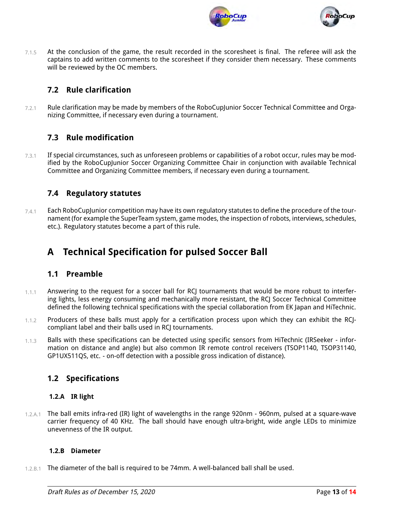



 $7.1.5$  At the conclusion of the game, the result recorded in the scoresheet is final. The referee will ask the captains to add written comments to the scoresheet if they consider them necessary. These comments will be reviewed by the OC members.

### **7.2 Rule clarification**

7.2.1 Rule clarification may be made by members of the RoboCupJunior Soccer Technical Committee and Organizing Committee, if necessary even during a tournament.

### **7.3 Rule modification**

7.3.1 If special circumstances, such as unforeseen problems or capabilities of a robot occur, rules may be modified by the RoboCupJunior Soccer Organizing Committee Chair in conjunction with available Technical Committee and Organizing Committee members, if necessary even during a tournament.

### **7.4 Regulatory statutes**

 $7.4.1$  Each RoboCupJunior competition may have its own regulatory statutes to define the procedure of the tournament (for example the SuperTeam system, game modes, the inspection of robots, interviews, schedules, etc.). Regulatory statutes become a part of this rule.

# <span id="page-12-0"></span>**A Technical Specification for pulsed Soccer Ball**

#### <span id="page-12-1"></span>**1.1 Preamble**

- $1.1.1$  Answering to the request for a soccer ball for RCJ tournaments that would be more robust to interfering lights, less energy consuming and mechanically more resistant, the RCJ Soccer Technical Committee defined the following technical specifications with the special collaboration from EK Japan and HiTechnic.
- 1.1.2 Producers of these balls must apply for a certification process upon which they can exhibit the RCJcompliant label and their balls used in RCJ tournaments.
- 1.1.3 Balls with these specifications can be detected using specific sensors from HiTechnic (IRSeeker information on distance and angle) but also common IR remote control receivers (TSOP1140, TSOP31140, GP1UX511QS, etc. - on-off detection with a possible gross indication of distance).

#### **1.2 Specifications**

#### **1.2.A IR light**

1.2.A.1 The ball emits infra-red (IR) light of wavelengths in the range 920nm - 960nm, pulsed at a square-wave carrier frequency of 40 KHz. The ball should have enough ultra-bright, wide angle LEDs to minimize unevenness of the IR output.

#### **1.2.B Diameter**

1.2.B.1 The diameter of the ball is required to be 74mm. A well-balanced ball shall be used.